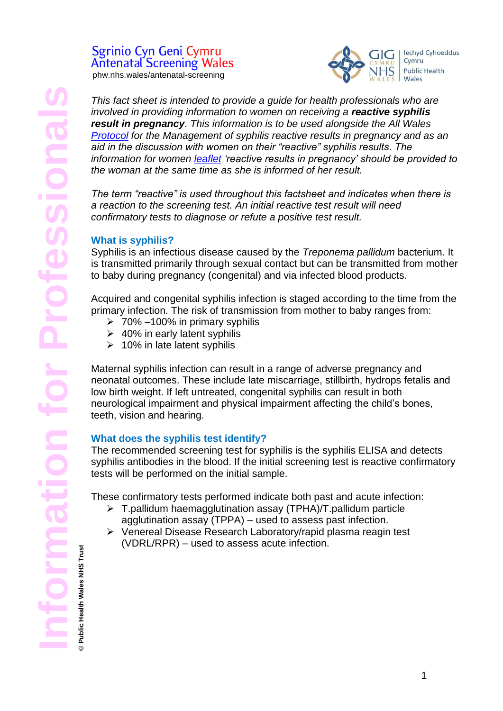# Sgrinio Cyn Geni Cymru **Antenatal Screening Wales**

phw.nhs.wales/antenatal-screening



*This fact sheet is intended to provide a guide for health professionals who are involved in providing information to women on receiving a reactive syphilis result in pregnancy. This information is to be used alongside the All Wales [Protocol](https://phw.nhs.wales/services-and-teams/screening/antenatal-screening-wales/information-for-professionals/) for the Management of syphilis reactive results in pregnancy and as an aid in the discussion with women on their "reactive" syphilis results. The information for women [leaflet](https://phw.nhs.wales/services-and-teams/screening/antenatal-screening-wales/what-do-results-mean/) 'reactive results in pregnancy' should be provided to the woman at the same time as she is informed of her result.* 

*The term "reactive" is used throughout this factsheet and indicates when there is a reaction to the screening test. An initial reactive test result will need confirmatory tests to diagnose or refute a positive test result.* 

# **What is syphilis?**

Syphilis is an infectious disease caused by the *Treponema pallidum* bacterium. It is transmitted primarily through sexual contact but can be transmitted from mother to baby during pregnancy (congenital) and via infected blood products.

Acquired and congenital syphilis infection is staged according to the time from the primary infection. The risk of transmission from mother to baby ranges from:

- $\geq 70\% -100\%$  in primary syphilis
- $\geq$  40% in early latent syphilis
- $\geq 10\%$  in late latent syphilis

Maternal syphilis infection can result in a range of adverse pregnancy and neonatal outcomes. These include late miscarriage, stillbirth, hydrops fetalis and low birth weight. If left untreated, congenital syphilis can result in both neurological impairment and physical impairment affecting the child's bones, teeth, vision and hearing.

# **What does the syphilis test identify?**

The recommended screening test for syphilis is the syphilis ELISA and detects syphilis antibodies in the blood. If the initial screening test is reactive confirmatory tests will be performed on the initial sample.

These confirmatory tests performed indicate both past and acute infection:

- T.pallidum haemagglutination assay (TPHA)/T.pallidum particle agglutination assay (TPPA) – used to assess past infection.
- Venereal Disease Research Laboratory/rapid plasma reagin test (VDRL/RPR) – used to assess acute infection.

Public Health Wales NHS Trust **© Public Health Wales NHS Trust**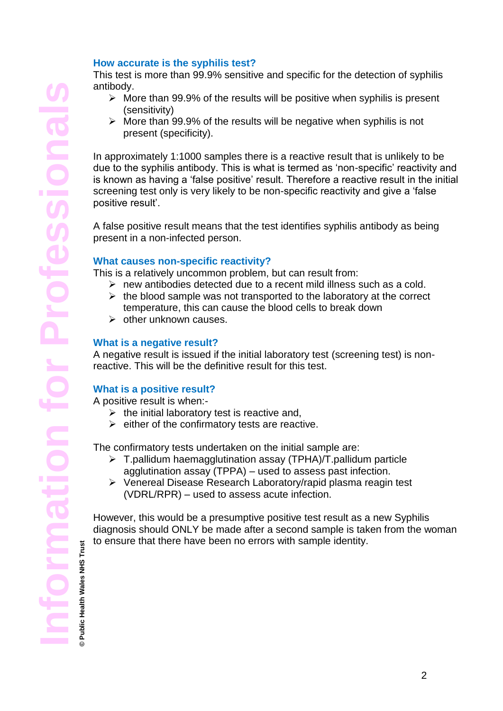## **How accurate is the syphilis test?**

This test is more than 99.9% sensitive and specific for the detection of syphilis antibody.

- $\triangleright$  More than 99.9% of the results will be positive when syphilis is present (sensitivity)
- $\triangleright$  More than 99.9% of the results will be negative when syphilis is not present (specificity).

In approximately 1:1000 samples there is a reactive result that is unlikely to be due to the syphilis antibody. This is what is termed as 'non-specific' reactivity and is known as having a 'false positive' result. Therefore a reactive result in the initial screening test only is very likely to be non-specific reactivity and give a 'false positive result'.

A [false positive](http://en.wikipedia.org/wiki/False_positive) result means that the test identifies syphilis antibody as being present in a non-infected person.

## **What causes non-specific reactivity?**

This is a relatively uncommon problem, but can result from:

- $\triangleright$  new antibodies detected due to a recent mild illness such as a cold.
- $\triangleright$  the blood sample was not transported to the laboratory at the correct temperature, this can cause the blood cells to break down
- $\triangleright$  other unknown causes.

### **What is a negative result?**

A negative result is issued if the initial laboratory test (screening test) is nonreactive. This will be the definitive result for this test.

## **What is a positive result?**

A positive result is when:-

- $\triangleright$  the initial laboratory test is reactive and,
- $\triangleright$  either of the confirmatory tests are reactive.

The confirmatory tests undertaken on the initial sample are:

- T.pallidum haemagglutination assay (TPHA)/T.pallidum particle agglutination assay (TPPA) – used to assess past infection.
- Venereal Disease Research Laboratory/rapid plasma reagin test (VDRL/RPR) – used to assess acute infection.

However, this would be a presumptive positive test result as a new Syphilis diagnosis should ONLY be made after a second sample is taken from the woman to ensure that there have been no errors with sample identity.

**Public Health Wales NHS Trust © Public Health Wales NHS Trust**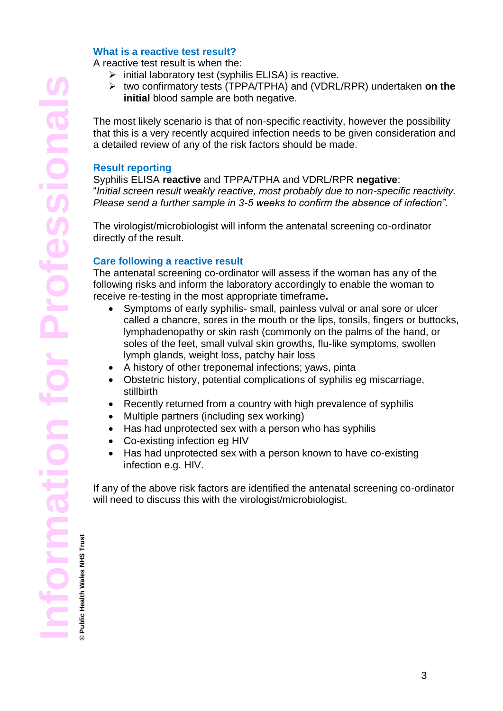## **What is a reactive test result?**

A reactive test result is when the:

- $\triangleright$  initial laboratory test (syphilis ELISA) is reactive.
- two confirmatory tests (TPPA/TPHA) and (VDRL/RPR) undertaken **on the initial** blood sample are both negative.

The most likely scenario is that of non-specific reactivity, however the possibility that this is a very recently acquired infection needs to be given consideration and a detailed review of any of the risk factors should be made.

#### **Result reporting**

Syphilis ELISA **reactive** and TPPA/TPHA and VDRL/RPR **negative**: "*Initial screen result weakly reactive, most probably due to non-specific reactivity. Please send a further sample in 3-5 weeks to confirm the absence of infection".*

The virologist/microbiologist will inform the antenatal screening co-ordinator directly of the result.

#### **Care following a reactive result**

The antenatal screening co-ordinator will assess if the woman has any of the following risks and inform the laboratory accordingly to enable the woman to receive re-testing in the most appropriate timeframe**.**

- Symptoms of early syphilis- small, painless vulval or anal sore or ulcer called a chancre, sores in the mouth or the lips, tonsils, fingers or buttocks, lymphadenopathy or skin rash (commonly on the palms of the hand, or soles of the feet, small vulval skin growths, flu-like symptoms, swollen lymph glands, weight loss, patchy hair loss
- A history of other treponemal infections; yaws, pinta
- Obstetric history, potential complications of syphilis eg miscarriage, stillbirth
- Recently returned from a country with high prevalence of syphilis
- Multiple partners (including sex working)
- Has had unprotected sex with a person who has syphilis
- Co-existing infection eg [HIV](http://www.emedicinehealth.com/script/main/art.asp?articlekey=133681&ref=128878)
- Has had unprotected sex with a person known to have co-existing infection e.g. HIV.

If any of the above risk factors are identified the antenatal screening co-ordinator will need to discuss this with the virologist/microbiologist.

**Public Health Wales NHS Trust © Public Health Wales NHS Trust**